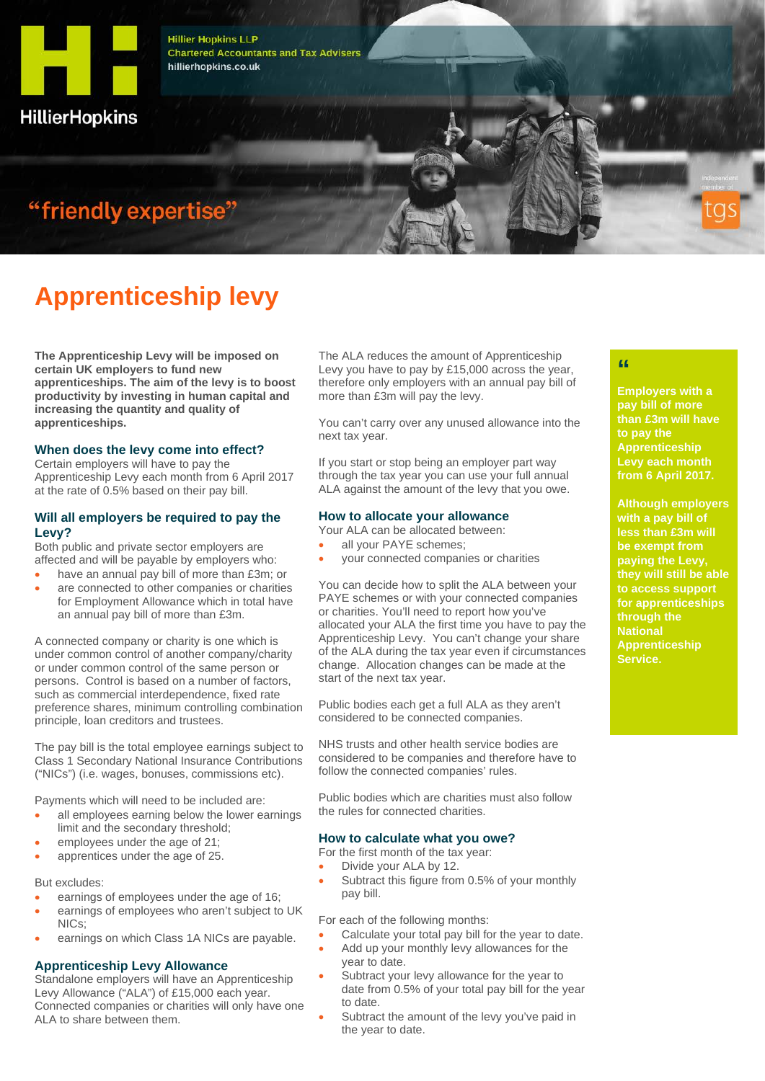

**Hillier Hopkins LLP Chartered Accountants and Tax Advisers** hillierhopkins.co.uk

# "friendly expertise"

# **Apprenticeship levy**

**The Apprenticeship Levy will be imposed on certain UK employers to fund new apprenticeships. The aim of the levy is to boost productivity by investing in human capital and increasing the quantity and quality of apprenticeships.**

#### **When does the levy come into effect?**

Certain employers will have to pay the Apprenticeship Levy each month from 6 April 2017 at the rate of 0.5% based on their pay bill.

#### **Will all employers be required to pay the Levy?**

Both public and private sector employers are affected and will be payable by employers who:

- have an annual pay bill of more than £3m; or
- are connected to other companies or charities for Employment Allowance which in total have an annual pay bill of more than £3m.

A connected company or charity is one which is under common control of another company/charity or under common control of the same person or persons. Control is based on a number of factors, such as commercial interdependence, fixed rate preference shares, minimum controlling combination principle, loan creditors and trustees.

The pay bill is the total employee earnings subject to Class 1 Secondary National Insurance Contributions ("NICs") (i.e. wages, bonuses, commissions etc).

Payments which will need to be included are:

- all employees earning below the lower earnings limit and the secondary threshold;
- employees under the age of 21;
- apprentices under the age of 25.

#### But excludes:

- earnings of employees under the age of 16;
- earnings of employees who aren't subject to UK NICs;
- earnings on which Class 1A NICs are payable.

#### **Apprenticeship Levy Allowance**

Standalone employers will have an Apprenticeship Levy Allowance ("ALA") of £15,000 each year. Connected companies or charities will only have one ALA to share between them.

The ALA reduces the amount of Apprenticeship Levy you have to pay by £15,000 across the year, therefore only employers with an annual pay bill of more than £3m will pay the levy.

You can't carry over any unused allowance into the next tax year.

If you start or stop being an employer part way through the tax year you can use your full annual ALA against the amount of the levy that you owe.

#### **How to allocate your allowance**

Your ALA can be allocated between:

- all your PAYE schemes:
- your connected companies or charities

You can decide how to split the ALA between your PAYE schemes or with your connected companies or charities. You'll need to report how you've allocated your ALA the first time you have to pay the Apprenticeship Levy. You can't change your share of the ALA during the tax year even if circumstances change. Allocation changes can be made at the start of the next tax year.

Public bodies each get a full ALA as they aren't considered to be connected companies.

NHS trusts and other health service bodies are considered to be companies and therefore have to follow the connected companies' rules.

Public bodies which are charities must also follow the rules for connected charities.

#### **How to calculate what you owe?**

- For the first month of the tax year:
- Divide your ALA by 12.
- Subtract this figure from 0.5% of your monthly pay bill.

For each of the following months:

- Calculate your total pay bill for the year to date.
- Add up your monthly levy allowances for the year to date.
- Subtract your levy allowance for the year to date from 0.5% of your total pay bill for the year to date.
- Subtract the amount of the levy you've paid in the year to date.

## **"**

**Employers with a pay bill of more than £3m will have to pay the Apprenticeship Levy each month from 6 April 2017.**

**Although employers with a pay bill of less than £3m will be exempt from paying the Levy, they will still be able to access support for apprenticeships through the National Apprenticeship Service.**